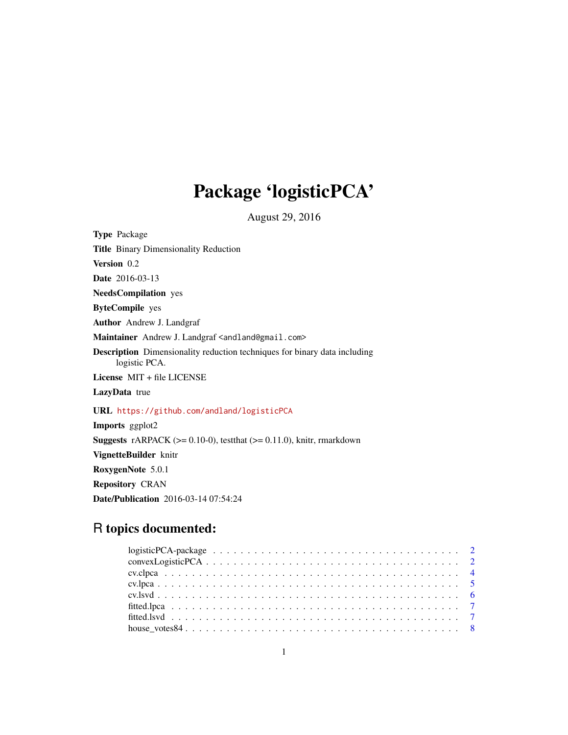## Package 'logisticPCA'

August 29, 2016

Type Package Title Binary Dimensionality Reduction Version 0.2 Date 2016-03-13 NeedsCompilation yes ByteCompile yes Author Andrew J. Landgraf Maintainer Andrew J. Landgraf <andland@gmail.com> Description Dimensionality reduction techniques for binary data including logistic PCA. License MIT + file LICENSE LazyData true URL <https://github.com/andland/logisticPCA> Imports ggplot2 **Suggests** rARPACK ( $>= 0.10-0$ ), testthat ( $>= 0.11.0$ ), knitr, rmarkdown VignetteBuilder knitr RoxygenNote 5.0.1 Repository CRAN Date/Publication 2016-03-14 07:54:24

## R topics documented: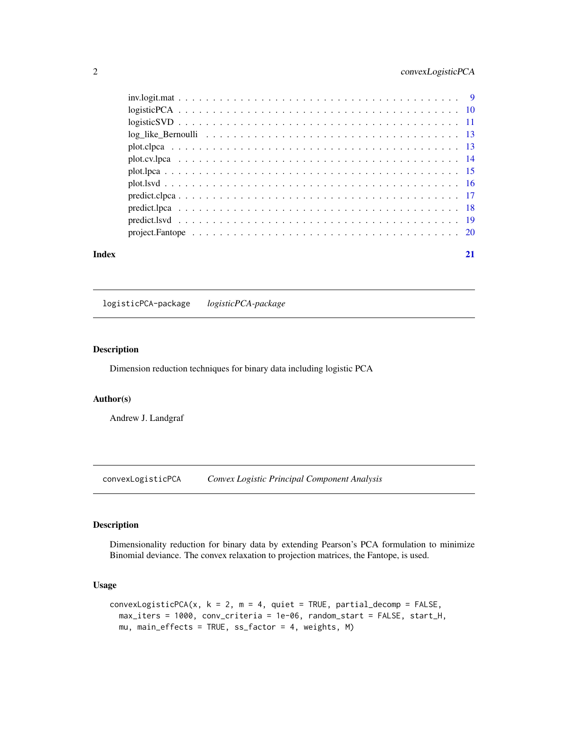## <span id="page-1-0"></span>2 convexLogisticPCA

| Index |  |
|-------|--|

logisticPCA-package *logisticPCA-package*

#### Description

Dimension reduction techniques for binary data including logistic PCA

## Author(s)

Andrew J. Landgraf

convexLogisticPCA *Convex Logistic Principal Component Analysis*

## Description

Dimensionality reduction for binary data by extending Pearson's PCA formulation to minimize Binomial deviance. The convex relaxation to projection matrices, the Fantope, is used.

#### Usage

```
convexLogisticPCA(x, k = 2, m = 4, quiet = TRUE, partial_decomp = FALSE,
 max_iters = 1000, conv_criteria = 1e-06, random_start = FALSE, start_H,
 mu, main_effects = TRUE, ss_factor = 4, weights, M)
```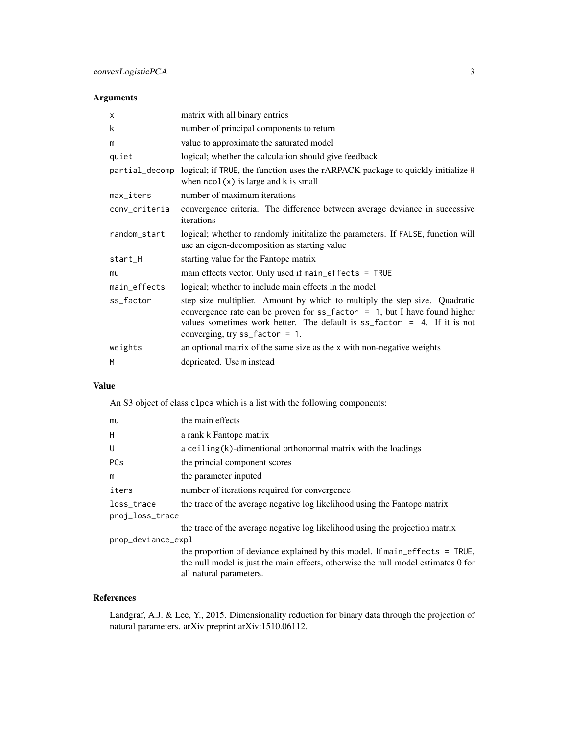## Arguments

| X              | matrix with all binary entries                                                                                                                                                                                                                                                  |
|----------------|---------------------------------------------------------------------------------------------------------------------------------------------------------------------------------------------------------------------------------------------------------------------------------|
| k              | number of principal components to return                                                                                                                                                                                                                                        |
| m              | value to approximate the saturated model                                                                                                                                                                                                                                        |
| quiet          | logical; whether the calculation should give feedback                                                                                                                                                                                                                           |
| partial_decomp | logical; if TRUE, the function uses the rARPACK package to quickly initialize H<br>when $ncol(x)$ is large and k is small                                                                                                                                                       |
| max_iters      | number of maximum iterations                                                                                                                                                                                                                                                    |
| conv_criteria  | convergence criteria. The difference between average deviance in successive<br>iterations                                                                                                                                                                                       |
| random_start   | logical; whether to randomly inititalize the parameters. If FALSE, function will<br>use an eigen-decomposition as starting value                                                                                                                                                |
| start_H        | starting value for the Fantope matrix                                                                                                                                                                                                                                           |
| mu             | main effects vector. Only used if main_effects = TRUE                                                                                                                                                                                                                           |
| main_effects   | logical; whether to include main effects in the model                                                                                                                                                                                                                           |
| ss_factor      | step size multiplier. Amount by which to multiply the step size. Quadratic<br>convergence rate can be proven for $ss_factor = 1$ , but I have found higher<br>values sometimes work better. The default is $ss_f$ factor = 4. If it is not<br>converging, try $ss_factor = 1$ . |
| weights        | an optional matrix of the same size as the x with non-negative weights                                                                                                                                                                                                          |
| M              | depricated. Use m instead                                                                                                                                                                                                                                                       |

## Value

An S3 object of class clpca which is a list with the following components:

| mu                 | the main effects                                                                  |
|--------------------|-----------------------------------------------------------------------------------|
| H                  | a rank k Fantope matrix                                                           |
| U                  | a ceiling $(k)$ -dimentional orthonormal matrix with the loadings                 |
| PCs                | the princial component scores                                                     |
| m                  | the parameter inputed                                                             |
| iters              | number of iterations required for convergence                                     |
| loss_trace         | the trace of the average negative log likelihood using the Fantope matrix         |
| proj_loss_trace    |                                                                                   |
|                    | the trace of the average negative log likelihood using the projection matrix      |
| prop_deviance_expl |                                                                                   |
|                    | the proportion of deviance explained by this model. If main_effects = TRUE,       |
|                    | the null model is just the main effects, otherwise the null model estimates 0 for |
|                    | all natural parameters.                                                           |

## References

Landgraf, A.J. & Lee, Y., 2015. Dimensionality reduction for binary data through the projection of natural parameters. arXiv preprint arXiv:1510.06112.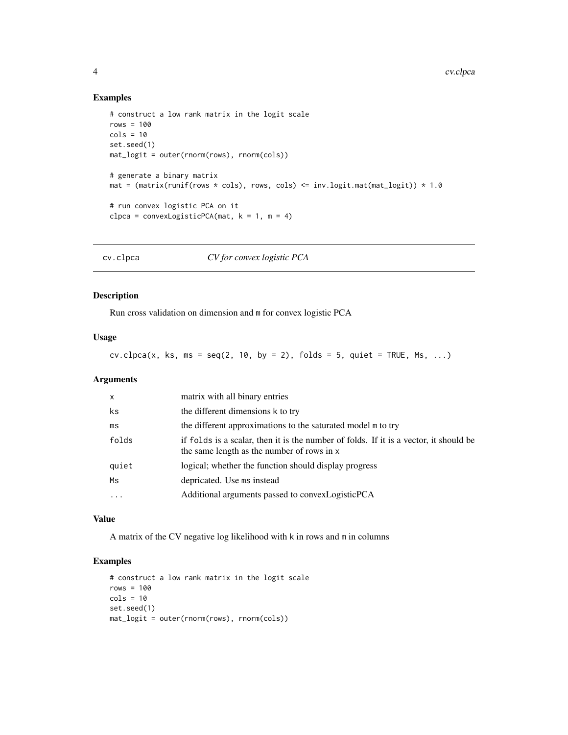## Examples

```
# construct a low rank matrix in the logit scale
rows = 100cols = 10set.seed(1)
mat_logit = outer(rnorm(rows), rnorm(cols))
# generate a binary matrix
mat = (\text{matrix}(\text{runif}(\text{rows} \times \text{cols}), \text{rows}, \text{cols}) \leq \text{inv.logit}.\text{mat}(\text{mat_logit}) \times 1.0# run convex logistic PCA on it
clpca = convexLogisticPCA(mat, k = 1, m = 4)
```
cv.clpca *CV for convex logistic PCA*

## Description

Run cross validation on dimension and m for convex logistic PCA

## Usage

 $cv.\text{clpca}(x, \text{ks}, \text{ms} = \text{seq}(2, 10, \text{by} = 2), \text{ folds} = 5, \text{ quiet} = \text{TRUE}, \text{Ms}, \dots)$ 

## Arguments

| $\mathsf{x}$ | matrix with all binary entries                                                                                                      |
|--------------|-------------------------------------------------------------------------------------------------------------------------------------|
| ks           | the different dimensions k to try                                                                                                   |
| ms           | the different approximations to the saturated model m to try                                                                        |
| folds        | if folds is a scalar, then it is the number of folds. If it is a vector, it should be<br>the same length as the number of rows in x |
| quiet        | logical; whether the function should display progress                                                                               |
| Ms           | depricated. Use ms instead                                                                                                          |
| $\ddotsc$    | Additional arguments passed to convex Logistic PCA                                                                                  |
|              |                                                                                                                                     |

#### Value

A matrix of the CV negative log likelihood with k in rows and m in columns

```
# construct a low rank matrix in the logit scale
rows = 100
cols = 10set.seed(1)
mat_logit = outer(rnorm(rows), rnorm(cols))
```
<span id="page-3-0"></span>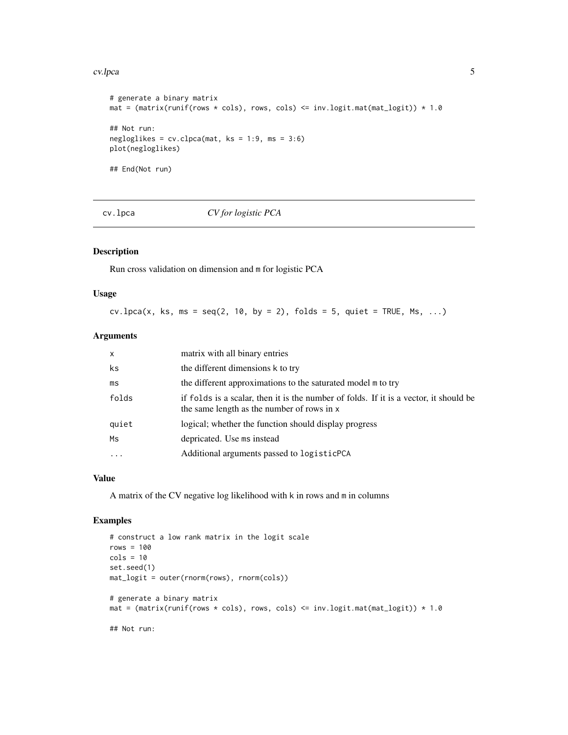#### <span id="page-4-0"></span>cv.lpca 5

```
# generate a binary matrix
mat = (\text{matrix}(\text{runk} \times \text{cols}), \text{rows}, \text{cols}) \leq \text{inv.logit}.\text{mat}(\text{mat_logit})) * 1.0## Not run:
negloglikes = cv.close (mat, ks = 1:9, ms = 3:6)
plot(negloglikes)
## End(Not run)
```
#### cv.lpca *CV for logistic PCA*

## Description

Run cross validation on dimension and m for logistic PCA

#### Usage

 $cv.lpca(x, ks, ms = seq(2, 10, by = 2), folds = 5, quiet = TRUE, Ms, ...)$ 

## Arguments

| $\mathsf{x}$ | matrix with all binary entries                                                                                                      |
|--------------|-------------------------------------------------------------------------------------------------------------------------------------|
| ks           | the different dimensions k to try                                                                                                   |
| ms           | the different approximations to the saturated model m to try                                                                        |
| folds        | if folds is a scalar, then it is the number of folds. If it is a vector, it should be<br>the same length as the number of rows in x |
| quiet        | logical; whether the function should display progress                                                                               |
| Ms           | depricated. Use ms instead                                                                                                          |
| $\cdots$     | Additional arguments passed to logisticPCA                                                                                          |

## Value

A matrix of the CV negative log likelihood with k in rows and m in columns

```
# construct a low rank matrix in the logit scale
rows = 100cols = 10set.seed(1)
mat_logit = outer(rnorm(rows), rnorm(cols))
# generate a binary matrix
mat = (\text{matrix}(\text{runk} \times \text{cols}), \text{rows}, \text{cols}) \leq \text{inv.logit}.\text{mat}(\text{mat_logit})) * 1.0## Not run:
```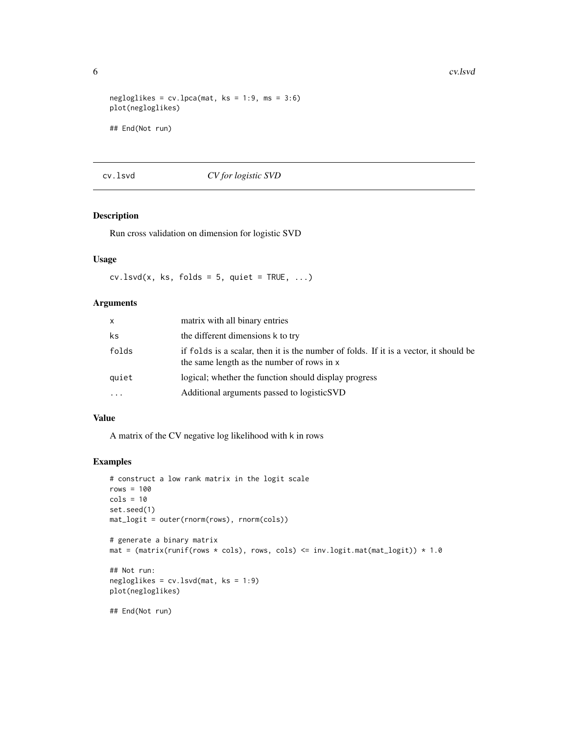```
negloglikes = cv.lpca(mat, ks = 1:9, ms = 3:6)plot(negloglikes)
## End(Not run)
```
#### cv.lsvd *CV for logistic SVD*

## Description

Run cross validation on dimension for logistic SVD

## Usage

 $cv.lsvd(x, ks, folds = 5, quiet = TRUE, ...)$ 

#### Arguments

| <b>X</b> | matrix with all binary entries                                                                                                      |
|----------|-------------------------------------------------------------------------------------------------------------------------------------|
| ks       | the different dimensions k to try                                                                                                   |
| folds    | if folds is a scalar, then it is the number of folds. If it is a vector, it should be<br>the same length as the number of rows in x |
| quiet    | logical; whether the function should display progress                                                                               |
| $\cdots$ | Additional arguments passed to logisticSVD                                                                                          |

#### Value

A matrix of the CV negative log likelihood with k in rows

```
# construct a low rank matrix in the logit scale
rows = 100cols = 10
set.seed(1)
mat_logit = outer(rnorm(rows), rnorm(cols))
# generate a binary matrix
mat = (\text{matrix}(\text{runk} \times \text{cols}), \text{rows}, \text{cols}) \leq \text{inv.logit}.\text{mat}(\text{mat_logit})) * 1.0## Not run:
negloglikes = cv.lsvd(mat, ks = 1:9)
plot(negloglikes)
## End(Not run)
```
<span id="page-5-0"></span>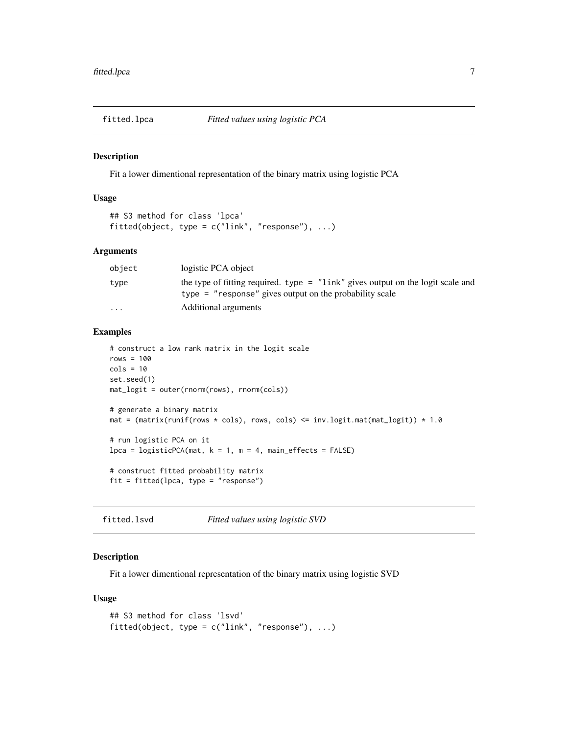<span id="page-6-0"></span>

Fit a lower dimentional representation of the binary matrix using logistic PCA

#### Usage

```
## S3 method for class 'lpca'
fitted(object, type = c("link", "response"), ...)
```
#### Arguments

| object    | logistic PCA object                                                                                                                            |
|-----------|------------------------------------------------------------------------------------------------------------------------------------------------|
| type      | the type of fitting required. type $=$ "link" gives output on the logit scale and<br>type $=$ "response" gives output on the probability scale |
| $\ddotsc$ | Additional arguments                                                                                                                           |

## Examples

```
# construct a low rank matrix in the logit scale
rows = 100cols = 10set.seed(1)
mat_logit = outer(rnorm(rows), rnorm(cols))
# generate a binary matrix
mat = (\text{matrix}(\text{runif}(\text{rows} \times \text{cols}), \text{rows}, \text{cols}) \leq \text{inv.logit}.\text{mat}(\text{mat\_logit}) \times 1.0# run logistic PCA on it
lpca = logisticPCA(mat, k = 1, m = 4, main_effects = FALSE)# construct fitted probability matrix
fit = fitted(lpca, type = "response")
```
fitted.lsvd *Fitted values using logistic SVD*

## Description

Fit a lower dimentional representation of the binary matrix using logistic SVD

## Usage

```
## S3 method for class 'lsvd'
fitted(object, type = c("link", "response"), ...)
```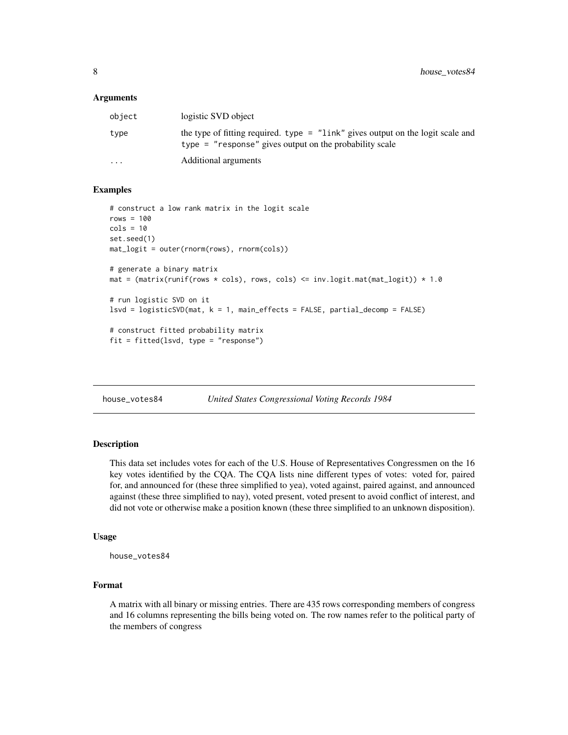#### <span id="page-7-0"></span>Arguments

| object   | logistic SVD object                                                                                                                          |
|----------|----------------------------------------------------------------------------------------------------------------------------------------------|
| type     | the type of fitting required. type = "link" gives output on the logit scale and<br>type $=$ "response" gives output on the probability scale |
| $\cdots$ | Additional arguments                                                                                                                         |

#### Examples

```
# construct a low rank matrix in the logit scale
rows = 100cols = 10set.seed(1)
mat_logit = outer(rnorm(rows), rnorm(cols))
# generate a binary matrix
mat = (\text{matrix}(\text{runif}(\text{rows} \times \text{cols}), \text{rows}, \text{cols}) \leq \text{inv.logit}.\text{mat}(\text{mat_logit})) \times 1.0# run logistic SVD on it
lsvd = logisticSVD(mat, k = 1, main_effects = FALSE, partial_decomp = FALSE)
# construct fitted probability matrix
fit = fitted(lsvd, type = "response")
```
house\_votes84 *United States Congressional Voting Records 1984*

#### Description

This data set includes votes for each of the U.S. House of Representatives Congressmen on the 16 key votes identified by the CQA. The CQA lists nine different types of votes: voted for, paired for, and announced for (these three simplified to yea), voted against, paired against, and announced against (these three simplified to nay), voted present, voted present to avoid conflict of interest, and did not vote or otherwise make a position known (these three simplified to an unknown disposition).

#### Usage

```
house_votes84
```
#### Format

A matrix with all binary or missing entries. There are 435 rows corresponding members of congress and 16 columns representing the bills being voted on. The row names refer to the political party of the members of congress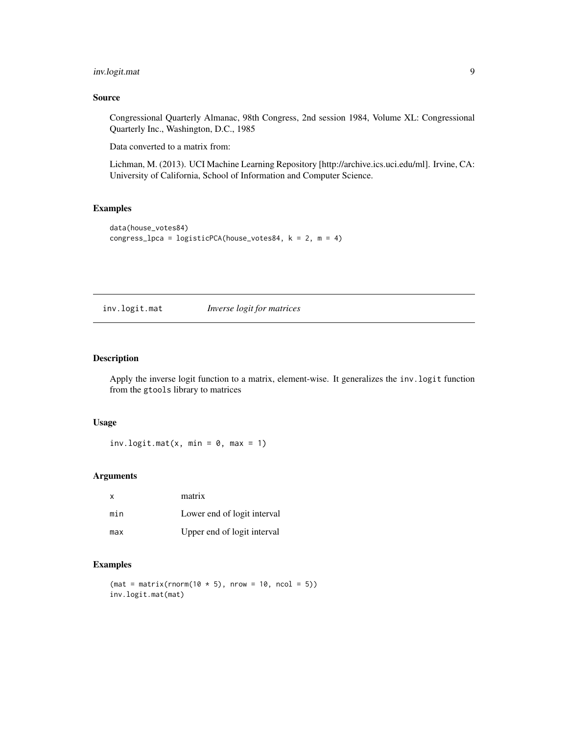## <span id="page-8-0"></span>inv.logit.mat 9

## Source

Congressional Quarterly Almanac, 98th Congress, 2nd session 1984, Volume XL: Congressional Quarterly Inc., Washington, D.C., 1985

Data converted to a matrix from:

Lichman, M. (2013). UCI Machine Learning Repository [http://archive.ics.uci.edu/ml]. Irvine, CA: University of California, School of Information and Computer Science.

## Examples

```
data(house_votes84)
congress_lpca = logisticPCA(house_votes84, k = 2, m = 4)
```
inv.logit.mat *Inverse logit for matrices*

#### Description

Apply the inverse logit function to a matrix, element-wise. It generalizes the inv.logit function from the gtools library to matrices

#### Usage

 $inv.logit.mat(x, min = 0, max = 1)$ 

#### Arguments

| x   | matrix                      |
|-----|-----------------------------|
| min | Lower end of logit interval |
| max | Upper end of logit interval |

```
(mat = matrix(rnorm(10 * 5), nrow = 10, ncol = 5))inv.logit.mat(mat)
```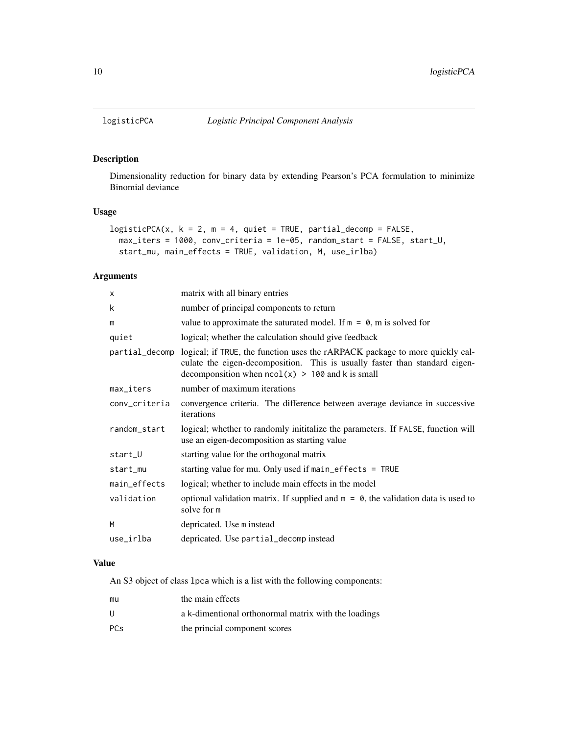Dimensionality reduction for binary data by extending Pearson's PCA formulation to minimize Binomial deviance

## Usage

```
logisticPCA(x, k = 2, m = 4, quiet = TRUE, partial-decomp = FALSE,max_iters = 1000, conv_criteria = 1e-05, random_start = FALSE, start_U,
 start_mu, main_effects = TRUE, validation, M, use_irlba)
```
## Arguments

| X             | matrix with all binary entries                                                                                                                                                                                                   |
|---------------|----------------------------------------------------------------------------------------------------------------------------------------------------------------------------------------------------------------------------------|
| k             | number of principal components to return                                                                                                                                                                                         |
| m             | value to approximate the saturated model. If $m = 0$ , m is solved for                                                                                                                                                           |
| quiet         | logical; whether the calculation should give feedback                                                                                                                                                                            |
|               | partial_decomp logical; if TRUE, the function uses the rARPACK package to more quickly cal-<br>culate the eigen-decomposition. This is usually faster than standard eigen-<br>decomponsition when $ncol(x) > 100$ and k is small |
| max_iters     | number of maximum iterations                                                                                                                                                                                                     |
| conv_criteria | convergence criteria. The difference between average deviance in successive<br>iterations                                                                                                                                        |
| random_start  | logical; whether to randomly inititalize the parameters. If FALSE, function will<br>use an eigen-decomposition as starting value                                                                                                 |
| start_U       | starting value for the orthogonal matrix                                                                                                                                                                                         |
| start_mu      | starting value for mu. Only used if main_effects $=$ TRUE                                                                                                                                                                        |
| main_effects  | logical; whether to include main effects in the model                                                                                                                                                                            |
| validation    | optional validation matrix. If supplied and $m = 0$ , the validation data is used to<br>solve for m                                                                                                                              |
| M             | depricated. Use m instead                                                                                                                                                                                                        |
| use_irlba     | depricated. Use partial_decomp instead                                                                                                                                                                                           |

#### Value

An S3 object of class lpca which is a list with the following components:

| mu         | the main effects                                     |
|------------|------------------------------------------------------|
| U          | a k-dimentional orthonormal matrix with the loadings |
| <b>PCs</b> | the princial component scores                        |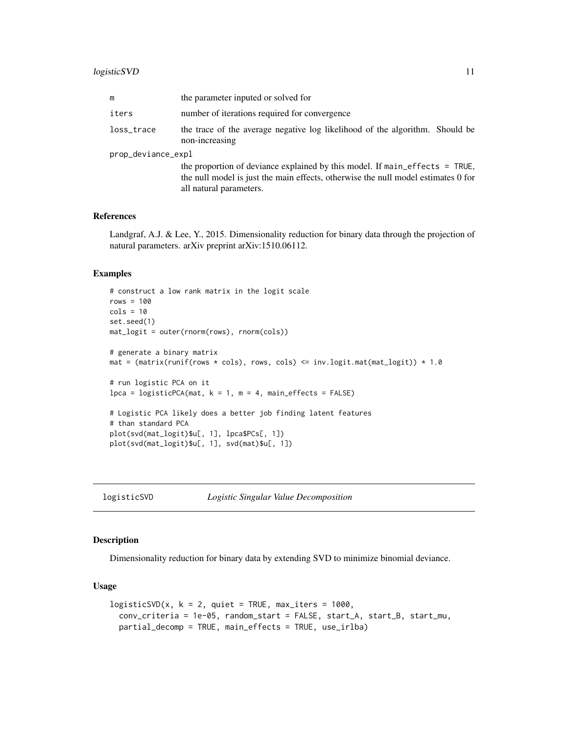<span id="page-10-0"></span>

| m                  | the parameter inputed or solved for                                                                                                                                                         |  |
|--------------------|---------------------------------------------------------------------------------------------------------------------------------------------------------------------------------------------|--|
| iters              | number of iterations required for convergence                                                                                                                                               |  |
| loss_trace         | the trace of the average negative log likelihood of the algorithm. Should be<br>non-increasing                                                                                              |  |
| prop_deviance_expl |                                                                                                                                                                                             |  |
|                    | the proportion of deviance explained by this model. If main_effects = TRUE,<br>the null model is just the main effects, otherwise the null model estimates 0 for<br>all natural parameters. |  |

#### References

Landgraf, A.J. & Lee, Y., 2015. Dimensionality reduction for binary data through the projection of natural parameters. arXiv preprint arXiv:1510.06112.

#### Examples

```
# construct a low rank matrix in the logit scale
rows = 100cols = 10set.seed(1)
mat_logit = outer(rnorm(rows), rnorm(cols))
# generate a binary matrix
mat = (matrix(runif(rows * cols), rows, cols) \le inv.logit.mat(mat_logit)) * 1.0
# run logistic PCA on it
lpca = logisticPCA(mat, k = 1, m = 4, main_effects = FALSE)# Logistic PCA likely does a better job finding latent features
# than standard PCA
plot(svd(mat_logit)$u[, 1], lpca$PCs[, 1])
plot(svd(mat_logit)$u[, 1], svd(mat)$u[, 1])
```
logisticSVD *Logistic Singular Value Decomposition*

#### Description

Dimensionality reduction for binary data by extending SVD to minimize binomial deviance.

#### Usage

```
logisticsVD(x, k = 2, quiet = TRUE, max\_iters = 1000,conv_criteria = 1e-05, random_start = FALSE, start_A, start_B, start_mu,
 partial_decomp = TRUE, main_effects = TRUE, use_irlba)
```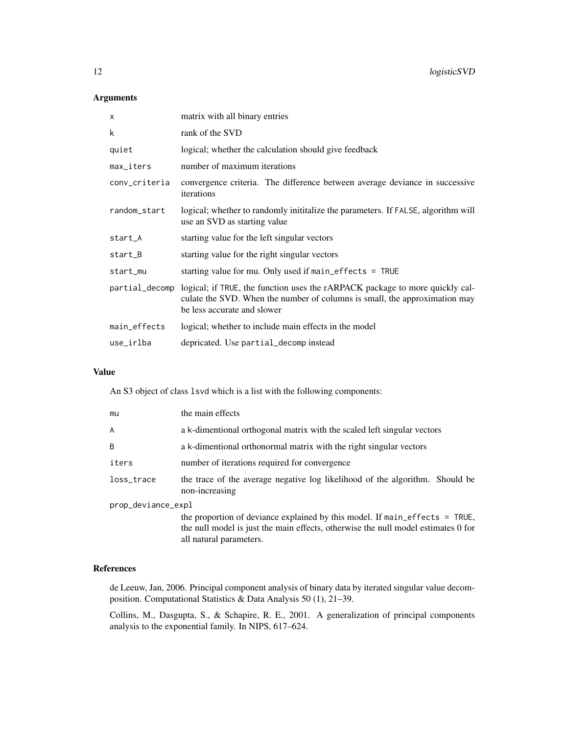## Arguments

| $\mathsf{x}$  | matrix with all binary entries                                                                                                                                                                           |
|---------------|----------------------------------------------------------------------------------------------------------------------------------------------------------------------------------------------------------|
| k             | rank of the SVD                                                                                                                                                                                          |
| quiet         | logical; whether the calculation should give feedback                                                                                                                                                    |
| max_iters     | number of maximum iterations                                                                                                                                                                             |
| conv_criteria | convergence criteria. The difference between average deviance in successive<br>iterations                                                                                                                |
| random_start  | logical; whether to randomly inititalize the parameters. If FALSE, algorithm will<br>use an SVD as starting value                                                                                        |
| start_A       | starting value for the left singular vectors                                                                                                                                                             |
| start_B       | starting value for the right singular vectors                                                                                                                                                            |
| start_mu      | starting value for mu. Only used if main_effects = TRUE                                                                                                                                                  |
|               | partial_decomp logical; if TRUE, the function uses the rARPACK package to more quickly cal-<br>culate the SVD. When the number of columns is small, the approximation may<br>be less accurate and slower |
| main_effects  | logical; whether to include main effects in the model                                                                                                                                                    |
| use_irlba     | depricated. Use partial_decomp instead                                                                                                                                                                   |

#### Value

An S3 object of class lsvd which is a list with the following components:

all natural parameters.

| mu                 | the main effects                                                                               |
|--------------------|------------------------------------------------------------------------------------------------|
| A                  | a k-dimentional orthogonal matrix with the scaled left singular vectors                        |
| B                  | a k-dimentional orthonormal matrix with the right singular vectors                             |
| iters              | number of iterations required for convergence                                                  |
| loss_trace         | the trace of the average negative log likelihood of the algorithm. Should be<br>non-increasing |
| prop_deviance_expl |                                                                                                |
|                    | the proportion of deviance explained by this model. If main_effects = TRUE,                    |
|                    | the null model is just the main effects, otherwise the null model estimates 0 for              |

#### References

de Leeuw, Jan, 2006. Principal component analysis of binary data by iterated singular value decomposition. Computational Statistics & Data Analysis 50 (1), 21–39.

Collins, M., Dasgupta, S., & Schapire, R. E., 2001. A generalization of principal components analysis to the exponential family. In NIPS, 617–624.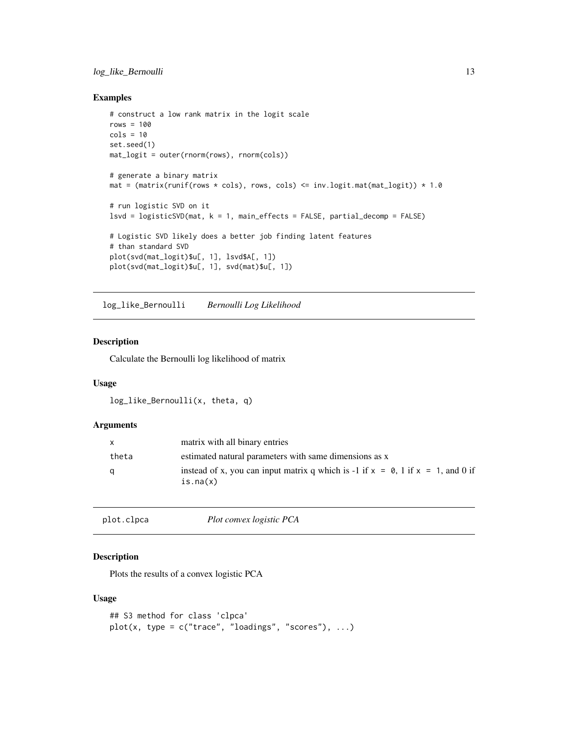## <span id="page-12-0"></span>log\_like\_Bernoulli 13

#### Examples

```
# construct a low rank matrix in the logit scale
rows = 100cols = 10set.seed(1)
mat_logit = outer(rnorm(rows), rnorm(cols))
# generate a binary matrix
mat = (\text{matrix}(\text{runif}(\text{rows} \times \text{cols}), \text{rows}, \text{cols}) \leq \text{inv.logit}.\text{mat}(\text{mat_logit}) \times 1.0# run logistic SVD on it
lsvd = logisticSVD(mat, k = 1, main_effects = FALSE, partial_decomp = FALSE)
# Logistic SVD likely does a better job finding latent features
# than standard SVD
plot(svd(mat_logit)$u[, 1], lsvd$A[, 1])
plot(svd(mat_logit)$u[, 1], svd(mat)$u[, 1])
```
log\_like\_Bernoulli *Bernoulli Log Likelihood*

## Description

Calculate the Bernoulli log likelihood of matrix

## Usage

log\_like\_Bernoulli(x, theta, q)

#### Arguments

| $\mathsf{x}$ | matrix with all binary entries                                                                     |
|--------------|----------------------------------------------------------------------------------------------------|
| theta        | estimated natural parameters with same dimensions as x                                             |
| q            | instead of x, you can input matrix q which is -1 if $x = 0$ , 1 if $x = 1$ , and 0 if<br>is, na(x) |

| plot.clpca | Plot convex logistic PCA |
|------------|--------------------------|
|            |                          |

## Description

Plots the results of a convex logistic PCA

## Usage

```
## S3 method for class 'clpca'
plot(x, type = c("trace", "loading", "scores"), ...)
```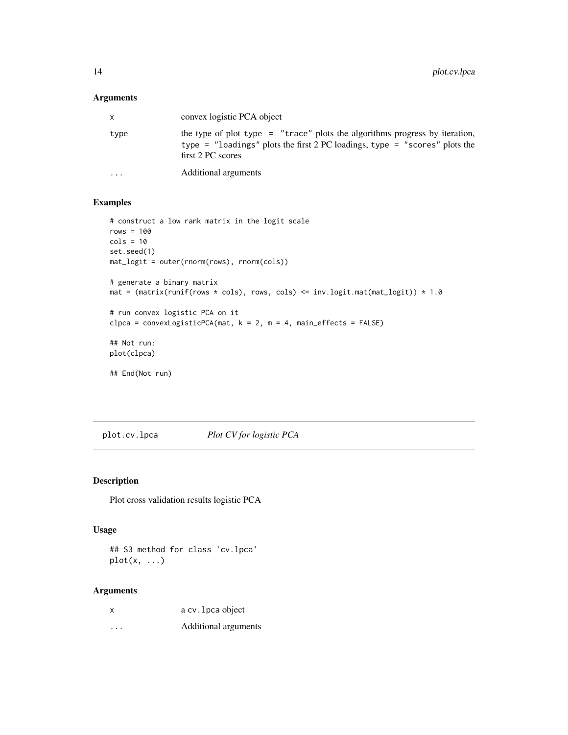## <span id="page-13-0"></span>Arguments

| $\mathsf{x}$ | convex logistic PCA object                                                                                                                                                     |
|--------------|--------------------------------------------------------------------------------------------------------------------------------------------------------------------------------|
| type         | the type of plot type = "trace" plots the algorithms progress by iteration,<br>type = "loadings" plots the first 2 PC loadings, type = "scores" plots the<br>first 2 PC scores |
| $\cdot$      | Additional arguments                                                                                                                                                           |

## Examples

```
# construct a low rank matrix in the logit scale
rows = 100cols = 10set.seed(1)
mat_logit = outer(rnorm(rows), rnorm(cols))
# generate a binary matrix
mat = (\text{matrix}(\text{runk}) * \text{cols}), rows, cols) <= inv.logit.mat(\text{mat\_logit}) * 1.0# run convex logistic PCA on it
clpca = convexLogisticPCA(mat, k = 2, m = 4, main_effects = FALSE)
## Not run:
plot(clpca)
## End(Not run)
```
plot.cv.lpca *Plot CV for logistic PCA*

## Description

Plot cross validation results logistic PCA

## Usage

## S3 method for class 'cv.lpca'  $plot(x, \ldots)$ 

#### Arguments

| x                       | a cv. 1 pca object   |
|-------------------------|----------------------|
| $\cdot$ $\cdot$ $\cdot$ | Additional arguments |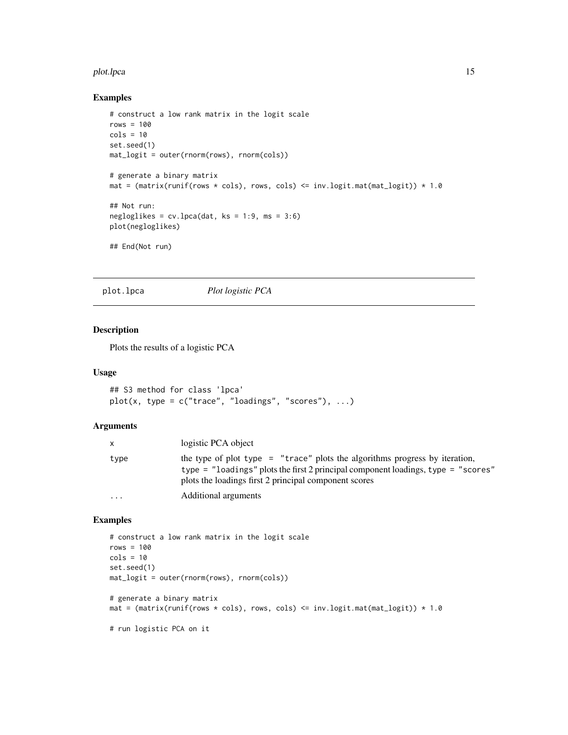#### <span id="page-14-0"></span>plot.lpca and the state of the state of the state of the state of the state of the state of the state of the state of the state of the state of the state of the state of the state of the state of the state of the state of

#### Examples

```
# construct a low rank matrix in the logit scale
rows = 100
cols = 10set.seed(1)
mat_logit = outer(rnorm(rows), rnorm(cols))
# generate a binary matrix
mat = (\text{matrix}(\text{runif}(\text{rows} \times \text{cols}), \text{rows}, \text{cols}) \leq \text{inv.logit}.\text{mat}(\text{mat_logit}) \times 1.0## Not run:
negloglikes = cv.lpca(data, ks = 1:9, ms = 3:6)plot(negloglikes)
## End(Not run)
```
plot.lpca *Plot logistic PCA*

#### Description

Plots the results of a logistic PCA

#### Usage

```
## S3 method for class 'lpca'
plot(x, type = c("trace", "loadings", "scores"), ...)
```
#### Arguments

|          | logistic PCA object                                                                                                                                                                                                           |
|----------|-------------------------------------------------------------------------------------------------------------------------------------------------------------------------------------------------------------------------------|
| type     | the type of plot type $=$ "trace" plots the algorithms progress by iteration,<br>type = $"loadings" plots the first 2 principal component loadings, type = "scores"$<br>plots the loadings first 2 principal component scores |
| $\cdots$ | Additional arguments                                                                                                                                                                                                          |

```
# construct a low rank matrix in the logit scale
rows = 100cols = 10set.seed(1)
mat_logit = outer(rnorm(rows), rnorm(cols))
# generate a binary matrix
mat = (\text{matrix}(\text{runif}(\text{rows} \times \text{cols}), \text{rows}, \text{cols}) \leq \text{inv.logit}.\text{mat}(\text{mat\_logit}) \times 1.0# run logistic PCA on it
```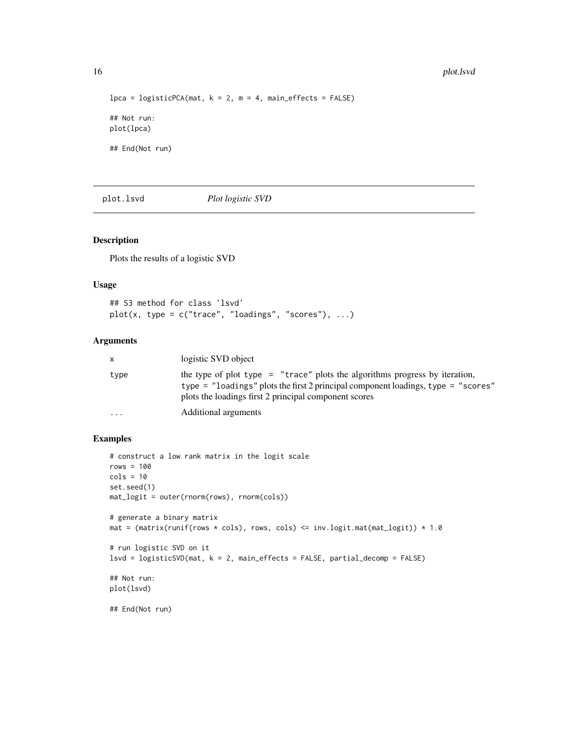```
lpca = logisticPCA(mat, k = 2, m = 4, main_effects = FALSE)## Not run:
plot(lpca)
## End(Not run)
```
plot.lsvd *Plot logistic SVD*

#### Description

Plots the results of a logistic SVD

#### Usage

```
## S3 method for class 'lsvd'
plot(x, type = c("trace", "loadings", "scores"), ...)
```
#### Arguments

| x        | logistic SVD object                                                                                                                                                                                                           |
|----------|-------------------------------------------------------------------------------------------------------------------------------------------------------------------------------------------------------------------------------|
| type     | the type of plot type $=$ "trace" plots the algorithms progress by iteration,<br>type = $"loadings" plots the first 2 principal component loadings, type = "scores"$<br>plots the loadings first 2 principal component scores |
| $\cdots$ | Additional arguments                                                                                                                                                                                                          |

```
# construct a low rank matrix in the logit scale
rows = 100cols = 10set.seed(1)
mat_logit = outer(rnorm(rows), rnorm(cols))
# generate a binary matrix
mat = (\text{matrix}(\text{runk} \times \text{cols}), \text{rows}, \text{cols}) \leq \text{inv.logit}.\text{mat}(\text{mat_logit})) * 1.0# run logistic SVD on it
lsvd = logisticSVD(mat, k = 2, main_effects = FALSE, partial_decomp = FALSE)
## Not run:
plot(lsvd)
## End(Not run)
```
<span id="page-15-0"></span>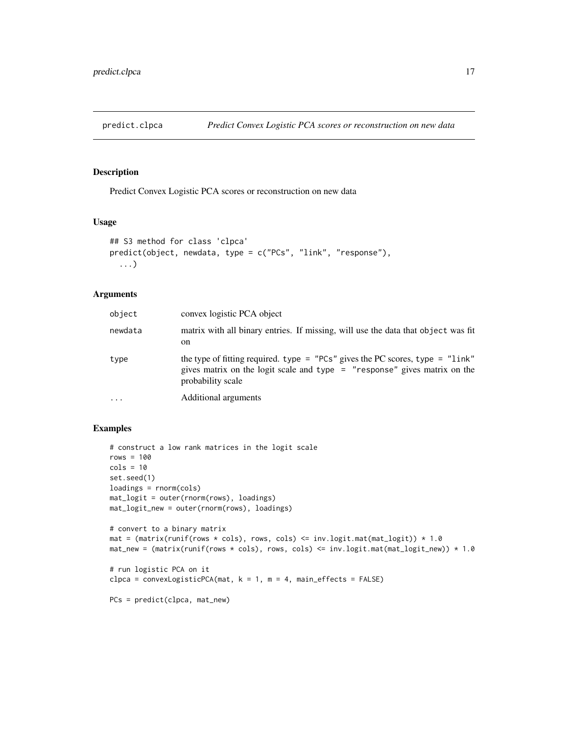<span id="page-16-0"></span>

Predict Convex Logistic PCA scores or reconstruction on new data

#### Usage

```
## S3 method for class 'clpca'
predict(object, newdata, type = c("PCs", "link", "response"),
  ...)
```
#### Arguments

| object   | convex logistic PCA object                                                                                                                                                            |
|----------|---------------------------------------------------------------------------------------------------------------------------------------------------------------------------------------|
| newdata  | matrix with all binary entries. If missing, will use the data that object was fit<br>on                                                                                               |
| type     | the type of fitting required. type = $"PCs"$ gives the PC scores, type = $"link"$<br>gives matrix on the logit scale and type $=$ "response" gives matrix on the<br>probability scale |
| $\ddots$ | Additional arguments                                                                                                                                                                  |

```
# construct a low rank matrices in the logit scale
rows = 100
cols = 10set.seed(1)
loadings = rnorm(cols)
mat_logit = outer(rnorm(rows), loadings)
mat_logit_new = outer(rnorm(rows), loadings)
# convert to a binary matrix
mat = (\text{matrix}(\text{runif}(\text{rows} \times \text{cols}), \text{rows}, \text{cols}) \leq \text{inv.logit}.\text{mat}(\text{mat\_logit})) \times 1.0mat_new = (matrix(rows * colspans; rows, colspans) <= inv.logit_matrix(matt_logit_new)) * 1.0# run logistic PCA on it
clpca = convexLogisticPCA(mat, k = 1, m = 4, main_effects = FALSE)
PCs = predict(clpca, mat_new)
```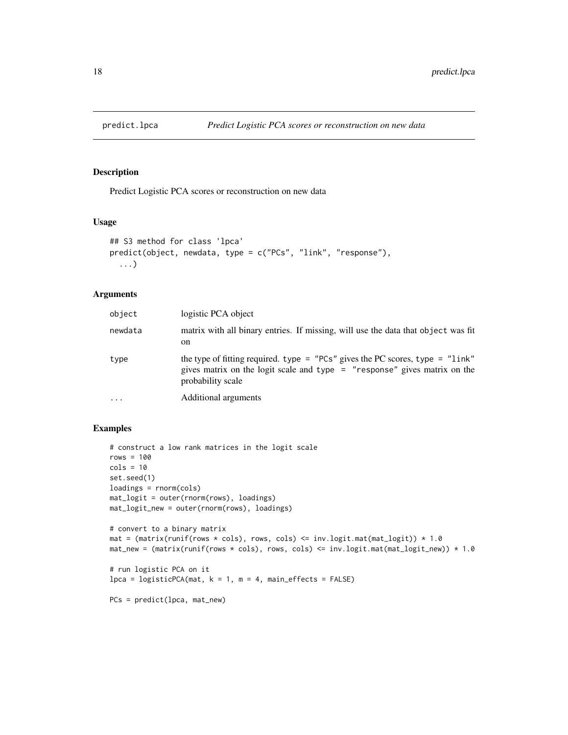<span id="page-17-0"></span>

Predict Logistic PCA scores or reconstruction on new data

#### Usage

```
## S3 method for class 'lpca'
predict(object, newdata, type = c("PCs", "link", "response"),
  ...)
```
#### Arguments

| object    | logistic PCA object                                                                                                                                                                   |
|-----------|---------------------------------------------------------------------------------------------------------------------------------------------------------------------------------------|
| newdata   | matrix with all binary entries. If missing, will use the data that object was fit<br>on                                                                                               |
| type      | the type of fitting required. type = $"PCs"$ gives the PC scores, type = $"link"$<br>gives matrix on the logit scale and type $=$ "response" gives matrix on the<br>probability scale |
| $\ddotsc$ | Additional arguments                                                                                                                                                                  |

```
# construct a low rank matrices in the logit scale
rows = 100
cols = 10set.seed(1)
loadings = rnorm(cols)
mat_logit = outer(rnorm(rows), loadings)
mat_logit_new = outer(rnorm(rows), loadings)
# convert to a binary matrix
mat = (\text{matrix(runif(rows <math>\times \text{cols}), rows, cols) <= inv.logit.mat(\text{mat\_logit}) \times 1.0mat_new = (matrix(rows * colspans; rows, colspans) <= inv.logit_matrix(matt_logit_new)) * 1.0# run logistic PCA on it
lpca = logisticPCA(mat, k = 1, m = 4, main_effects = FALSE)PCs = predict(lpca, mat_new)
```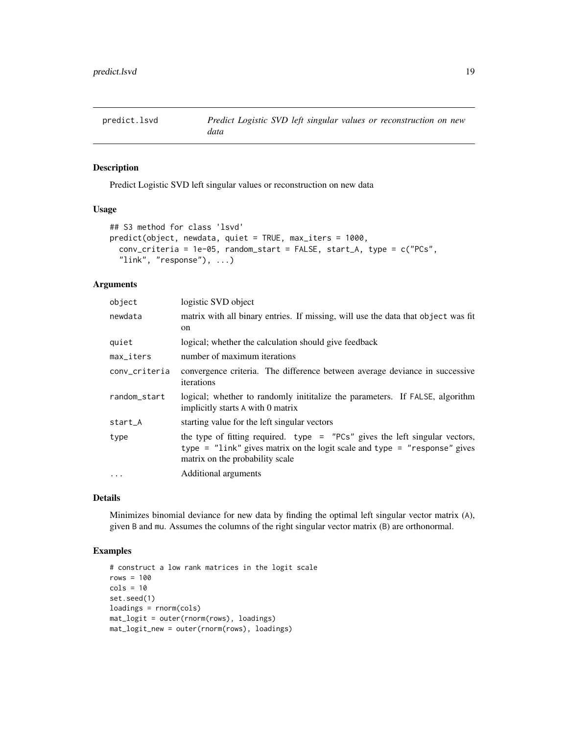<span id="page-18-0"></span>

Predict Logistic SVD left singular values or reconstruction on new data

## Usage

```
## S3 method for class 'lsvd'
predict(object, newdata, quiet = TRUE, max_iters = 1000,
  conv_criteria = 1e-05, random_start = FALSE, start_A, type = c("PCs",
  "link", "response"), ...)
```
#### Arguments

| object        | logistic SVD object                                                                                                                                                                               |
|---------------|---------------------------------------------------------------------------------------------------------------------------------------------------------------------------------------------------|
| newdata       | matrix with all binary entries. If missing, will use the data that object was fit                                                                                                                 |
|               | on                                                                                                                                                                                                |
| quiet         | logical; whether the calculation should give feedback                                                                                                                                             |
| $max\_iters$  | number of maximum iterations                                                                                                                                                                      |
| conv_criteria | convergence criteria. The difference between average deviance in successive<br>iterations                                                                                                         |
| random_start  | logical; whether to randomly inititalize the parameters. If FALSE, algorithm<br>implicitly starts A with 0 matrix                                                                                 |
| start_A       | starting value for the left singular vectors                                                                                                                                                      |
| type          | the type of fitting required. type $=$ "PCs" gives the left singular vectors,<br>type = $"link"$ gives matrix on the logit scale and type = $"response"$ gives<br>matrix on the probability scale |
| .             | Additional arguments                                                                                                                                                                              |

## Details

Minimizes binomial deviance for new data by finding the optimal left singular vector matrix (A), given B and mu. Assumes the columns of the right singular vector matrix (B) are orthonormal.

```
# construct a low rank matrices in the logit scale
rows = 100
cols = 10set.seed(1)
loadings = rnorm(cols)
mat_logit = outer(rnorm(rows), loadings)
mat_logit_new = outer(rnorm(rows), loadings)
```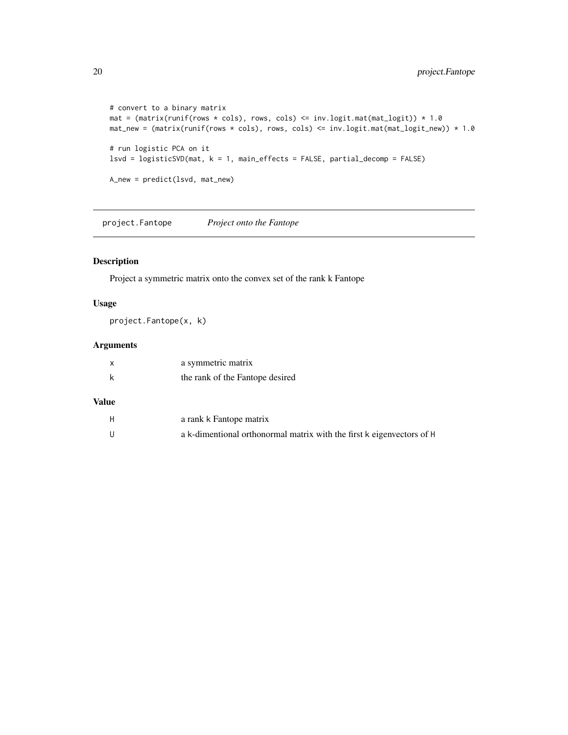```
# convert to a binary matrix
mat = (matrix(runist) * colors, rows, cols) \le inv.logit_matrix(tast_logit)) * 1.0mat_new = (matrix(runif(rows * colspans; rows, colspans) <= inv.logit_matrix(mat(new)) * 1.0# run logistic PCA on it
lsvd = logisticSVD(mat, k = 1, main_effects = FALSE, partial_decomp = FALSE)
A_new = predict(lsvd, mat_new)
```
project.Fantope *Project onto the Fantope*

## Description

Project a symmetric matrix onto the convex set of the rank k Fantope

## Usage

project.Fantope(x, k)

## Arguments

| a symmetric matrix              |
|---------------------------------|
| the rank of the Fantope desired |

#### Value

| a rank k Fantope matrix                                               |
|-----------------------------------------------------------------------|
| a k-dimentional orthonormal matrix with the first k eigenvectors of H |